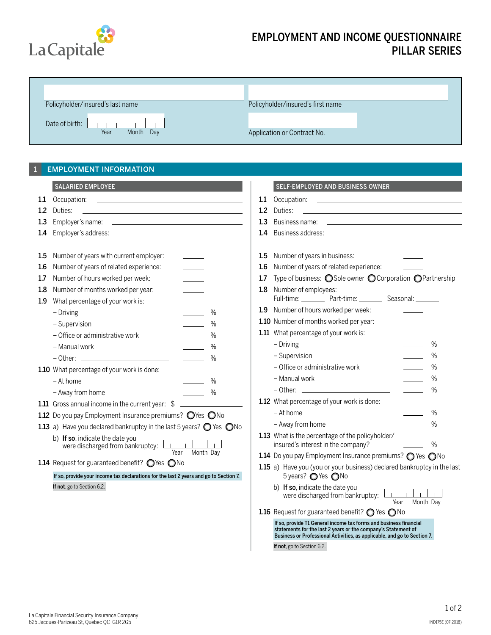

## EMPLOYMENT AND INCOME QUESTIONNAIRE PILLAR SERIES

|              | Policyholder/insured's last name<br>Date of birth:<br>Year<br>Month Day                                                                                                                                                                                                                                                                                                                                                                          |                             | Policyholder/insured's first name<br>Application or Contract No.                                                                                                                                               |  |
|--------------|--------------------------------------------------------------------------------------------------------------------------------------------------------------------------------------------------------------------------------------------------------------------------------------------------------------------------------------------------------------------------------------------------------------------------------------------------|-----------------------------|----------------------------------------------------------------------------------------------------------------------------------------------------------------------------------------------------------------|--|
| $\mathbf{1}$ | <b>EMPLOYMENT INFORMATION</b>                                                                                                                                                                                                                                                                                                                                                                                                                    |                             |                                                                                                                                                                                                                |  |
|              | SALARIED EMPLOYEE<br>$\mathcal{L}^{\text{max}}_{\text{max}}$ and $\mathcal{L}^{\text{max}}_{\text{max}}$ and $\mathcal{L}^{\text{max}}_{\text{max}}$                                                                                                                                                                                                                                                                                             |                             | SELF-EMPLOYED AND BUSINESS OWNER                                                                                                                                                                               |  |
| 11           |                                                                                                                                                                                                                                                                                                                                                                                                                                                  | 1.1                         |                                                                                                                                                                                                                |  |
| 1.2          | Duties:<br><u> 1989 - Johann Barn, amerikansk politiker (</u>                                                                                                                                                                                                                                                                                                                                                                                    | 1.2                         | Duties:<br><u> 1989 - Johann Barn, fransk politik formuler (d. 1989)</u>                                                                                                                                       |  |
| 1.3          |                                                                                                                                                                                                                                                                                                                                                                                                                                                  | 1.3                         |                                                                                                                                                                                                                |  |
| 1.4          |                                                                                                                                                                                                                                                                                                                                                                                                                                                  | 1.4                         |                                                                                                                                                                                                                |  |
| 1.5          | Number of years with current employer:                                                                                                                                                                                                                                                                                                                                                                                                           | 1.5                         | Number of years in business:                                                                                                                                                                                   |  |
| 1.6          | Number of years of related experience:                                                                                                                                                                                                                                                                                                                                                                                                           | 1.6                         | Number of years of related experience:                                                                                                                                                                         |  |
| 1.7          | Number of hours worked per week:                                                                                                                                                                                                                                                                                                                                                                                                                 | 1.7                         | Type of business: ○ Sole owner ○ Corporation ○ Partnership                                                                                                                                                     |  |
| 1.8          | Number of months worked per year:                                                                                                                                                                                                                                                                                                                                                                                                                | Number of employees:<br>1.8 |                                                                                                                                                                                                                |  |
| 1.9          | What percentage of your work is:                                                                                                                                                                                                                                                                                                                                                                                                                 |                             | Full-time: Part-time: Seasonal:                                                                                                                                                                                |  |
|              | $\%$<br>- Driving                                                                                                                                                                                                                                                                                                                                                                                                                                |                             | 1.9 Number of hours worked per week:                                                                                                                                                                           |  |
|              | $\%$<br>- Supervision                                                                                                                                                                                                                                                                                                                                                                                                                            |                             | 1.10 Number of months worked per year:                                                                                                                                                                         |  |
|              | - Office or administrative work<br>$\%$                                                                                                                                                                                                                                                                                                                                                                                                          |                             | 1.11 What percentage of your work is:                                                                                                                                                                          |  |
|              | - Manual work<br>$\%$                                                                                                                                                                                                                                                                                                                                                                                                                            |                             | - Driving<br>$\%$                                                                                                                                                                                              |  |
|              | $\frac{0}{0}$                                                                                                                                                                                                                                                                                                                                                                                                                                    |                             | - Supervision<br>$\%$                                                                                                                                                                                          |  |
|              | 1.10 What percentage of your work is done:                                                                                                                                                                                                                                                                                                                                                                                                       |                             | - Office or administrative work<br>$\%$                                                                                                                                                                        |  |
|              | - At home<br>$\%$                                                                                                                                                                                                                                                                                                                                                                                                                                |                             | - Manual work<br>$\%$                                                                                                                                                                                          |  |
|              | $\%$<br>- Away from home<br>$\frac{1}{\sqrt{1-\frac{1}{2}}\sqrt{1-\frac{1}{2}}\sqrt{1-\frac{1}{2}}\sqrt{1-\frac{1}{2}}\sqrt{1-\frac{1}{2}}\sqrt{1-\frac{1}{2}}\sqrt{1-\frac{1}{2}}\sqrt{1-\frac{1}{2}}\sqrt{1-\frac{1}{2}}\sqrt{1-\frac{1}{2}}\sqrt{1-\frac{1}{2}}\sqrt{1-\frac{1}{2}}\sqrt{1-\frac{1}{2}}\sqrt{1-\frac{1}{2}}\sqrt{1-\frac{1}{2}}\sqrt{1-\frac{1}{2}}\sqrt{1-\frac{1}{2}}\sqrt{1-\frac{1}{2}}\sqrt{1-\frac{1}{2}}\sqrt{1-\frac$ |                             | $\%$                                                                                                                                                                                                           |  |
|              | 1.11 Gross annual income in the current year: \$                                                                                                                                                                                                                                                                                                                                                                                                 |                             | 1.12 What percentage of your work is done:                                                                                                                                                                     |  |
|              | 1.12 Do you pay Employment Insurance premiums? OYes ONo                                                                                                                                                                                                                                                                                                                                                                                          |                             | - At home<br>$\%$                                                                                                                                                                                              |  |
|              | 1.13 a) Have you declared bankruptcy in the last 5 years? O Yes ONo                                                                                                                                                                                                                                                                                                                                                                              |                             | - Away from home<br>$\%$                                                                                                                                                                                       |  |
|              | b) If so, indicate the date you<br>were discharged from bankruptcy:<br>Month Day<br>Year<br>1.14 Request for guaranteed benefit? OYes ONo<br>If so, provide your income tax declarations for the last 2 years and go to Section 7.                                                                                                                                                                                                               |                             | 1.13 What is the percentage of the policyholder/<br>$\%$<br>insured's interest in the company?                                                                                                                 |  |
|              |                                                                                                                                                                                                                                                                                                                                                                                                                                                  |                             | 1.14 Do you pay Employment Insurance premiums? O Yes ONo                                                                                                                                                       |  |
|              |                                                                                                                                                                                                                                                                                                                                                                                                                                                  |                             | 1.15 a) Have you (you or your business) declared bankruptcy in the last<br>5 years? ○ Yes ○ No                                                                                                                 |  |
|              | If not, go to Section 6.2.                                                                                                                                                                                                                                                                                                                                                                                                                       |                             | b) If so, indicate the date you                                                                                                                                                                                |  |
|              |                                                                                                                                                                                                                                                                                                                                                                                                                                                  |                             | were discharged from bankruptcy:<br>Month Dav<br>Year                                                                                                                                                          |  |
|              |                                                                                                                                                                                                                                                                                                                                                                                                                                                  |                             | 1.16 Request for guaranteed benefit? ○ Yes ○ No                                                                                                                                                                |  |
|              |                                                                                                                                                                                                                                                                                                                                                                                                                                                  |                             | If so, provide T1 General income tax forms and business financial<br>statements for the last 2 years or the company's Statement of<br>Business or Professional Activities, as applicable, and go to Section 7. |  |

If not, go to Section 6.2.